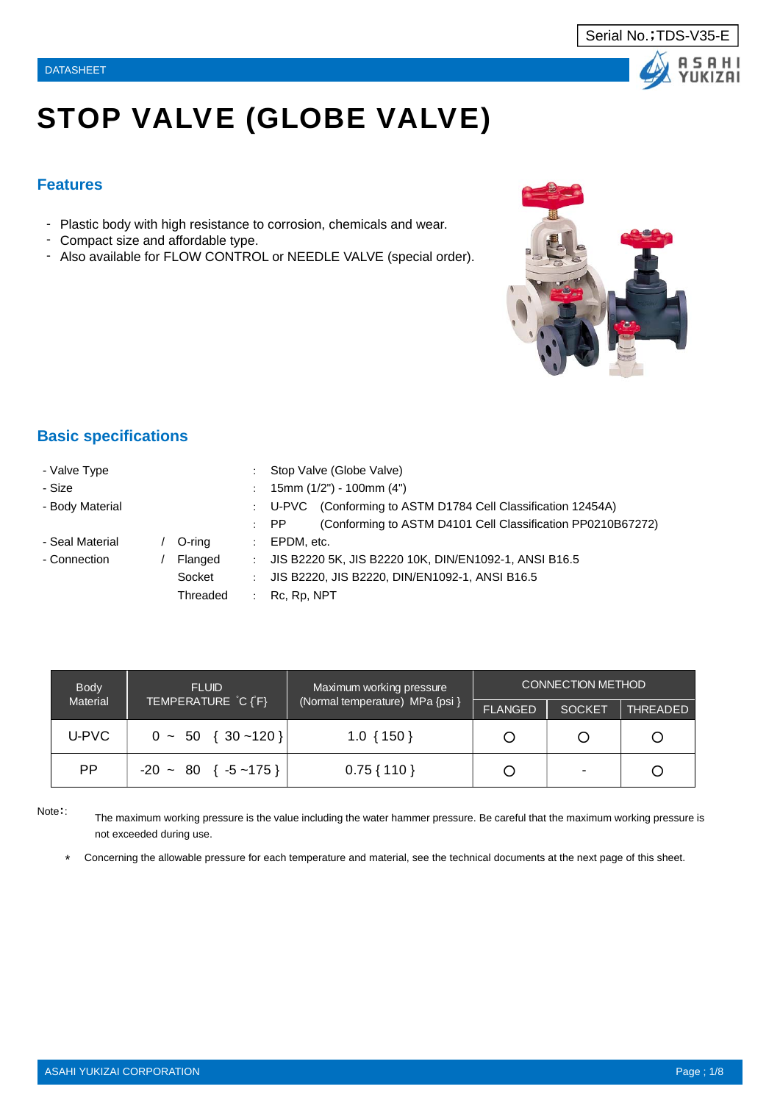# STOP VALVE (GLOBE VALVE)

# **Features**

- Plastic body with high resistance to corrosion, chemicals and wear.
- Compact size and affordable type.
- Also available for FLOW CONTROL or NEEDLE VALVE (special order).



- Valve Type **: Stop Valve (Globe Valve)**
- Size : 15mm (1/2") 100mm (4")
- 
- 
- 
- 
- Body Material : U-PVC (Conforming to ASTM D1784 Cell Classification 12454A) : PP (Conforming to ASTM D4101 Cell Classification PP0210B67272) - Seal Material / O-ring : EPDM, etc. - Connection / Flanged : JIS B2220 5K, JIS B2220 10K, DIN/EN1092-1, ANSI B16.5 Socket : JIS B2220, JIS B2220, DIN/EN1092-1, ANSI B16.5
	- Threaded : Rc, Rp, NPT

| <b>Body</b>     | <b>FLUID</b>                    | Maximum working pressure        |                | <b>CONNECTION METHOD</b> |                 |
|-----------------|---------------------------------|---------------------------------|----------------|--------------------------|-----------------|
| <b>Material</b> | TEMPERATURE C (F)               | (Normal temperature) MPa {psi } | <b>FLANGED</b> | <b>SOCKET</b>            | <b>THREADED</b> |
| U-PVC           | $0 \sim 50 \{30 \sim 120\}$     | $1.0 \{150\}$                   |                |                          |                 |
| PP              | $-20 \sim 80 \{ -5 \sim 175 \}$ | $0.75\{110\}$                   |                | -                        |                 |

Note::

The maximum working pressure is the value including the water hammer pressure. Be careful that the maximum working pressure is not exceeded during use.

\* Concerning the allowable pressure for each temperature and material, see the technical documents at the next page of this sheet.



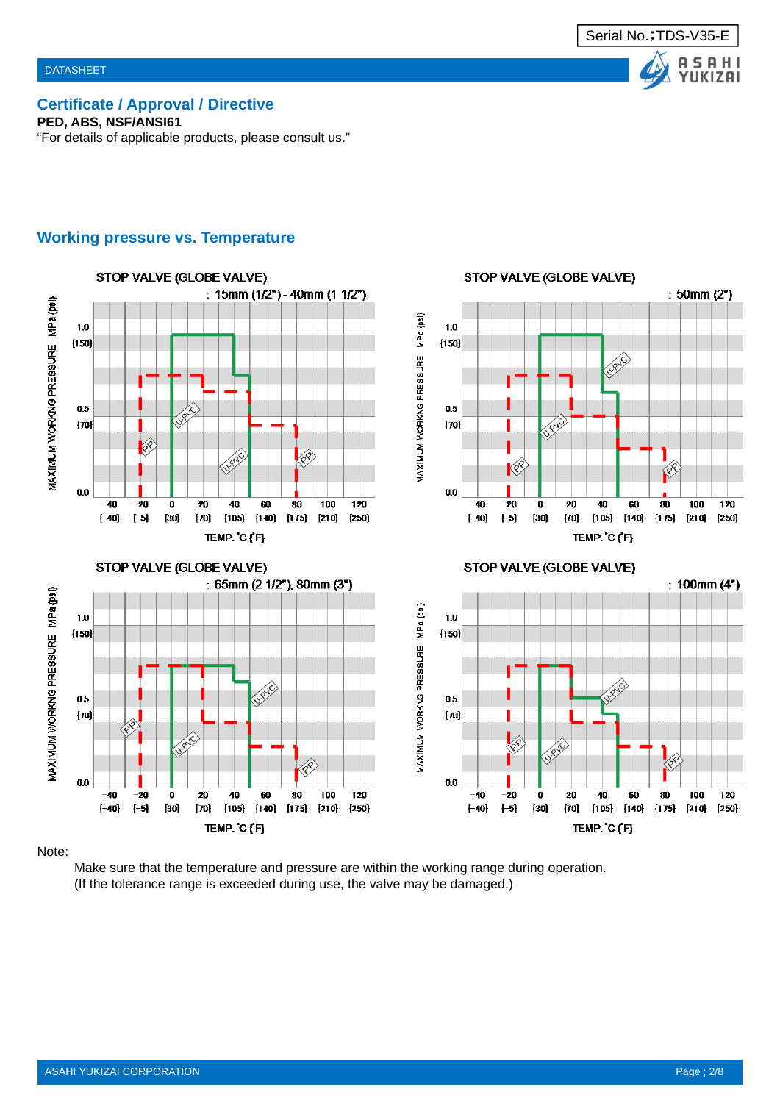

A S A H I<br>YUKIZAI

#### **Certificate / Approval / Directive**

**PED, ABS, NSF/ANSI61**

"For details of applicable products, please consult us."

#### **Working pressure vs. Temperature**



#### Note:

Make sure that the temperature and pressure are within the working range during operation. (If the tolerance range is exceeded during use, the valve may be damaged.)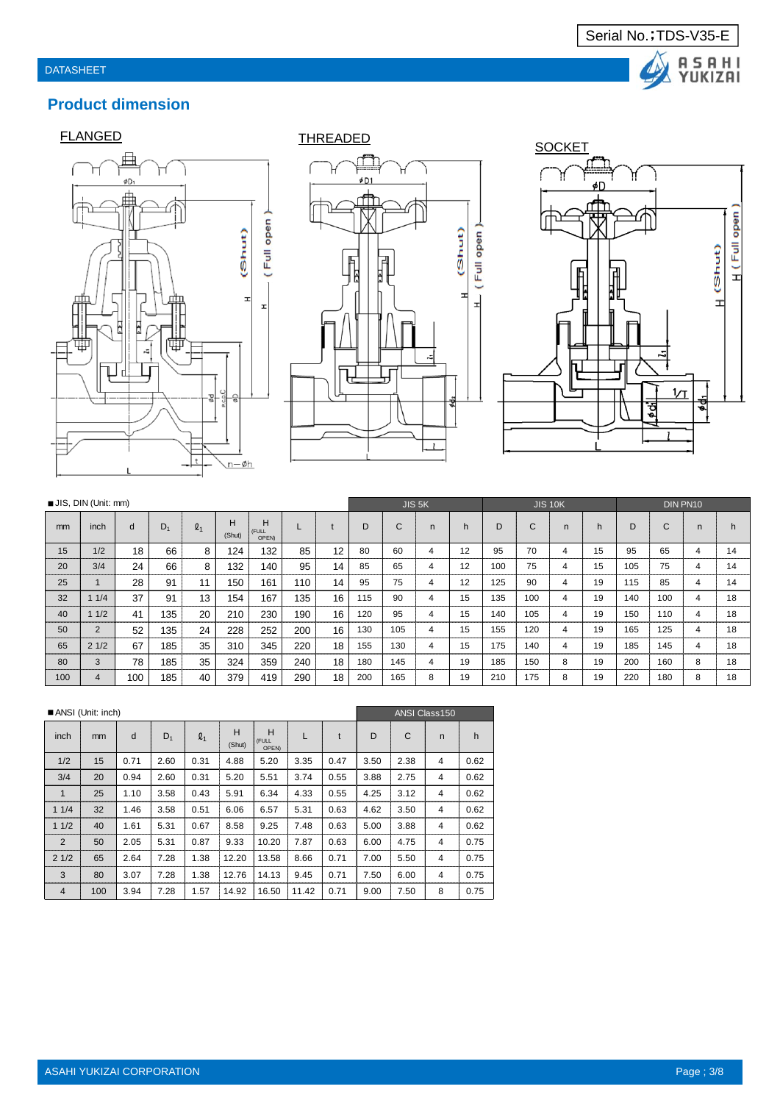

### **Product dimension**







DIN PN40

#### ■ JIS, DIN (Unit: mm)

|     | $\blacksquare$ JIS, DIN (Unit: mm) |     |       |                     |             |                     |     |    | JIS 5K |     |    |    | <b>JIS 10K</b> |     |    |    | DIN PN <sub>10</sub> |     |              |    |
|-----|------------------------------------|-----|-------|---------------------|-------------|---------------------|-----|----|--------|-----|----|----|----------------|-----|----|----|----------------------|-----|--------------|----|
| mm  | inch                               | d   | $D_1$ | $\mathbf{\Omega}_1$ | н<br>(Shut) | н<br>(FULL<br>OPEN) |     |    | D      | C   | n. | h  | D              | C   | n. | h. | D                    | С   | $\mathsf{n}$ | h. |
| 15  | 1/2                                | 18  | 66    | 8                   | 124         | 132                 | 85  | 12 | 80     | 60  | 4  | 12 | 95             | 70  | 4  | 15 | 95                   | 65  | 4            | 14 |
| 20  | 3/4                                | 24  | 66    | 8                   | 132         | 140                 | 95  | 14 | 85     | 65  | 4  | 12 | 100            | 75  | 4  | 15 | 105                  | 75  | 4            | 14 |
| 25  |                                    | 28  | 91    | 11                  | 150         | 161                 | 110 | 14 | 95     | 75  | 4  | 12 | 125            | 90  | 4  | 19 | 115                  | 85  | 4            | 14 |
| 32  | 1/4                                | 37  | 91    | 13                  | 154         | 167                 | 135 | 16 | 115    | 90  | 4  | 15 | 135            | 100 | 4  | 19 | 140                  | 100 | 4            | 18 |
| 40  | 1/2                                | 41  | 135   | 20                  | 210         | 230                 | 190 | 16 | 120    | 95  | 4  | 15 | 140            | 105 | 4  | 19 | 150                  | 110 | 4            | 18 |
| 50  | $\overline{2}$                     | 52  | 135   | 24                  | 228         | 252                 | 200 | 16 | 130    | 105 | 4  | 15 | 155            | 120 | 4  | 19 | 165                  | 125 | 4            | 18 |
| 65  | 21/2                               | 67  | 185   | 35                  | 310         | 345                 | 220 | 18 | 155    | 130 | 4  | 15 | 175            | 140 | 4  | 19 | 185                  | 145 | 4            | 18 |
| 80  | 3                                  | 78  | 185   | 35                  | 324         | 359                 | 240 | 18 | 180    | 145 | 4  | 19 | 185            | 150 | 8  | 19 | 200                  | 160 | 8            | 18 |
| 100 | 4                                  | 100 | 185   | 40                  | 379         | 419                 | 290 | 18 | 200    | 165 | 8  | 19 | 210            | 175 | 8  | 19 | 220                  | 180 | 8            | 18 |

|                | ANSI (Unit: inch) |      | <b>ANSI Class150</b> |                              |             |                     |       |      |      |      |   |      |
|----------------|-------------------|------|----------------------|------------------------------|-------------|---------------------|-------|------|------|------|---|------|
| inch           | <sub>mm</sub>     | d    | $D_1$                | $\boldsymbol{\mathcal{Q}}_1$ | н<br>(Shut) | H<br>(FULL<br>OPEN) | L     | t    | D    | C    | n | h    |
| 1/2            | 15                | 0.71 | 2.60                 | 0.31                         | 4.88        | 5.20                | 3.35  | 0.47 | 3.50 | 2.38 | 4 | 0.62 |
| 3/4            | 20                | 0.94 | 2.60                 | 0.31                         | 5.20        | 5.51                | 3.74  | 0.55 | 3.88 | 2.75 | 4 | 0.62 |
| $\mathbf{1}$   | 25                | 1.10 | 3.58                 | 0.43                         | 5.91        | 6.34                | 4.33  | 0.55 | 4.25 | 3.12 | 4 | 0.62 |
| 11/4           | 32                | 1.46 | 3.58                 | 0.51                         | 6.06        | 6.57                | 5.31  | 0.63 | 4.62 | 3.50 | 4 | 0.62 |
| 11/2           | 40                | 1.61 | 5.31                 | 0.67                         | 8.58        | 9.25                | 7.48  | 0.63 | 5.00 | 3.88 | 4 | 0.62 |
| $\overline{2}$ | 50                | 2.05 | 5.31                 | 0.87                         | 9.33        | 10.20               | 7.87  | 0.63 | 6.00 | 4.75 | 4 | 0.75 |
| 21/2           | 65                | 2.64 | 7.28                 | 1.38                         | 12.20       | 13.58               | 8.66  | 0.71 | 7.00 | 5.50 | 4 | 0.75 |
| 3              | 80                | 3.07 | 7.28                 | 1.38                         | 12.76       | 14.13               | 9.45  | 0.71 | 7.50 | 6.00 | 4 | 0.75 |
| $\overline{4}$ | 100               | 3.94 | 7.28                 | 1.57                         | 14.92       | 16.50               | 11.42 | 0.71 | 9.00 | 7.50 | 8 | 0.75 |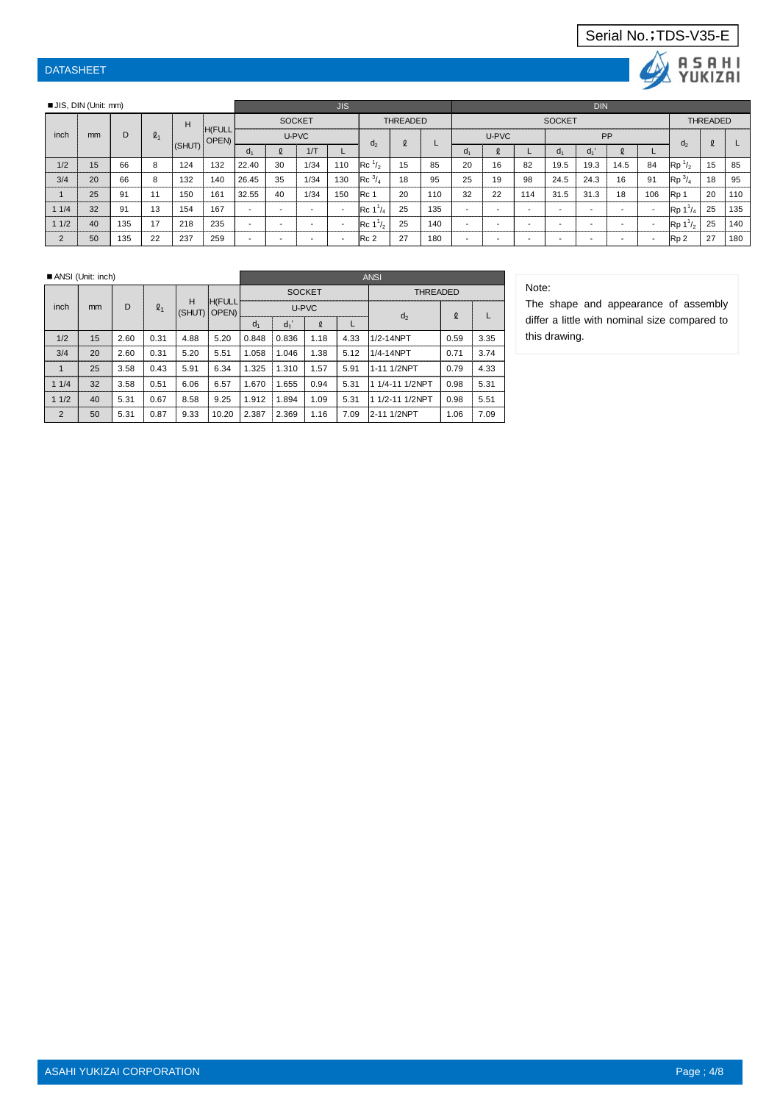#### Serial No.; TDS-V35-E



#### ■JIS, DIN (Unit: mm)

|      | $\blacksquare$ JIS, DIN (Unit: mm) |     |                               |       |                 | <b>JIS</b>     |          |                 |     |                                     |    |     | <b>DIN</b>     |                          |     |                          |                 |                          |                          |                   |    |     |
|------|------------------------------------|-----|-------------------------------|-------|-----------------|----------------|----------|-----------------|-----|-------------------------------------|----|-----|----------------|--------------------------|-----|--------------------------|-----------------|--------------------------|--------------------------|-------------------|----|-----|
| н    |                                    |     | <b>SOCKET</b>                 |       |                 |                |          | <b>THREADED</b> |     |                                     |    |     | <b>SOCKET</b>  |                          |     |                          | <b>THREADED</b> |                          |                          |                   |    |     |
| inch | mm                                 | D   | $\boldsymbol{\mathfrak{L}}_1$ |       | H(FULI<br>OPEN) |                |          | U-PVC           |     |                                     | l  |     |                | U-PVC                    |     |                          | <b>PP</b>       |                          |                          |                   |    |     |
|      |                                    |     |                               | (SHUT |                 | Q <sub>1</sub> | $\Omega$ | 1/T             |     | a <sub>2</sub>                      |    |     | a <sub>1</sub> | Q                        |     | Q <sub>1</sub>           | $d_1$           | Ω                        |                          | $d_2$             |    |     |
| 1/2  | 15                                 | 66  | 8                             | 124   | 132             | 22.40          | 30       | 1/34            | 110 | $\mathsf{Rc}^{-1}/_2$               | 15 | 85  | 20             | 16                       | 82  | 19.5                     | 19.3            | 14.5                     | 84                       | Rp'/2             | 15 | 85  |
| 3/4  | 20                                 | 66  | 8                             | 132   | 140             | 26.45          | 35       | 1/34            | 130 | $\mathsf{Rc}\,^{3}/_{4}$            | 18 | 95  | 25             | 19                       | 98  | 24.5                     | 24.3            | 16                       | 91                       | $Rp^3/4$          | 18 | 95  |
|      | 25                                 | 91  |                               | 150   | 161             | 32.55          | 40       | 1/34            | 150 | IRc 1                               | 20 | 110 | 32             | 22                       | 114 | 31.5                     | 31.3            | 18                       | 106                      | Rp 1              | 20 | 110 |
| 11/4 | 32                                 | 91  | 13                            | 154   | 167             |                |          |                 |     | $ Rc 1$ <sup>1</sup> /              | 25 | 135 |                |                          |     |                          | -               | $\overline{\phantom{0}}$ | $\overline{\phantom{a}}$ | Rp 1'/4           | 25 | 135 |
| 11/2 | 40                                 | 135 | 17                            | 218   | 235             |                |          |                 | . . | $ $ Rc 1 <sup>1</sup><br>$\sqrt{2}$ | 25 | 140 |                | $\overline{\phantom{0}}$ |     |                          | -               | $\overline{\phantom{0}}$ | $\overline{\phantom{a}}$ | $Rp 1\frac{1}{2}$ | 25 | 140 |
|      | 50                                 | 135 | 22                            | 237   | 259             |                |          |                 |     | Rc <sub>2</sub>                     | 27 | 180 |                |                          |     | $\overline{\phantom{a}}$ | -               | $\overline{\phantom{0}}$ | $\overline{\phantom{a}}$ | R <sub>p</sub> 2  | 27 | 180 |

|                | ANSI (Unit: inch) |      |                       |             |                        | <b>ANSI</b>    |                |               |      |                 |      |      |  |  |
|----------------|-------------------|------|-----------------------|-------------|------------------------|----------------|----------------|---------------|------|-----------------|------|------|--|--|
|                |                   |      |                       |             |                        |                |                | <b>SOCKET</b> |      | <b>THREADED</b> |      |      |  |  |
| inch           | mm                | D    | $\boldsymbol{\ell}_1$ | H<br>(SHUT) | <b>HIFULL</b><br>OPEN) |                |                | <b>U-PVC</b>  |      | d <sub>2</sub>  | Q    |      |  |  |
|                |                   |      |                       |             |                        | d <sub>1</sub> | d <sub>1</sub> | Q             |      |                 |      |      |  |  |
| 1/2            | 15                | 2.60 | 0.31                  | 4.88        | 5.20                   | 0.848          | 0.836          | 1.18          | 4.33 | 1/2-14NPT       | 0.59 | 3.35 |  |  |
| 3/4            | 20                | 2.60 | 0.31                  | 5.20        | 5.51                   | 1.058          | 1.046          | 1.38          | 5.12 | 1/4-14NPT       | 0.71 | 3.74 |  |  |
|                | 25                | 3.58 | 0.43                  | 5.91        | 6.34                   | 1.325          | 1.310          | 1.57          | 5.91 | 1-11 1/2NPT     | 0.79 | 4.33 |  |  |
| 11/4           | 32                | 3.58 | 0.51                  | 6.06        | 6.57                   | 1.670          | 1.655          | 0.94          | 5.31 | 1 1/4-11 1/2NPT | 0.98 | 5.31 |  |  |
| 11/2           | 40                | 5.31 | 0.67                  | 8.58        | 9.25                   | 1.912          | 1.894          | 1.09          | 5.31 | 1 1/2-11 1/2NPT | 0.98 | 5.51 |  |  |
| $\overline{2}$ | 50                | 5.31 | 0.87                  | 9.33        | 10.20                  | 2.387          | 2.369          | 1.16          | 7.09 | 2-11 1/2NPT     | 1.06 | 7.09 |  |  |

#### Note:

The shape and appearance of assembly differ a little with nominal size compared to this drawing.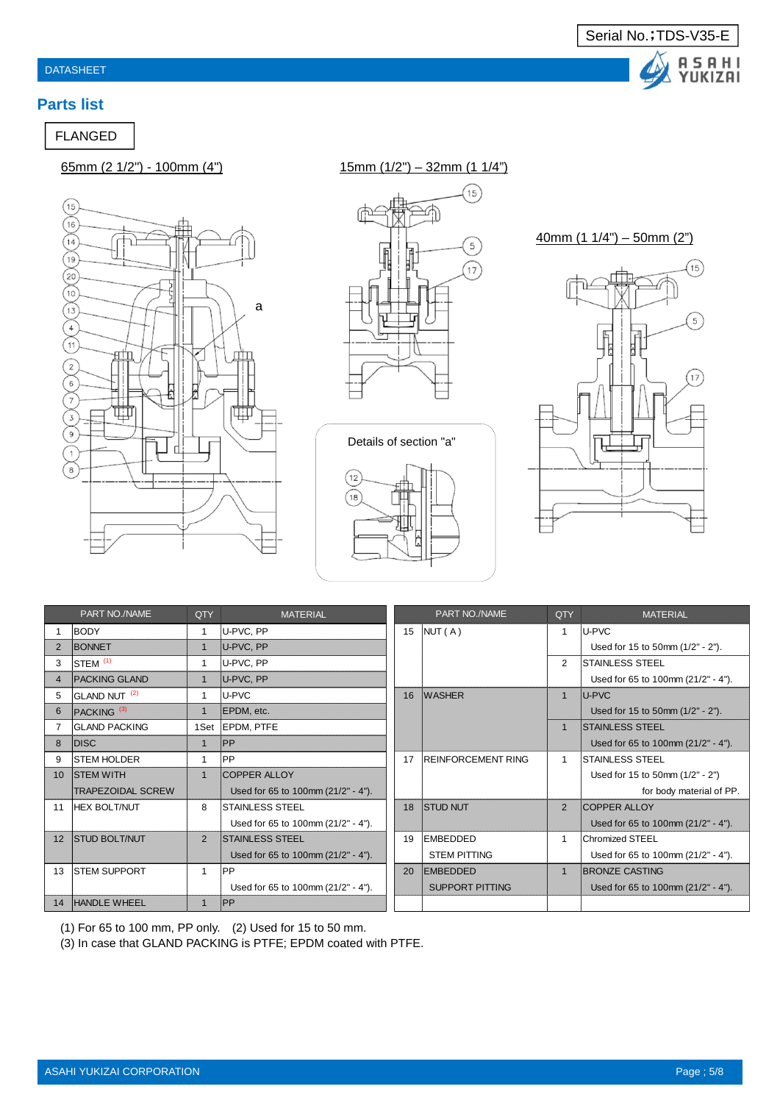#### **Parts list**

FLANGED





Details of section "a"





|                 | PART NO./NAME            | <b>QTY</b>   | <b>MATERIAL</b>                    |    | PART NO./NAME             | QTY          | <b>MATERIAL</b>                 |
|-----------------|--------------------------|--------------|------------------------------------|----|---------------------------|--------------|---------------------------------|
|                 | BODY                     | 1.           | U-PVC, PP                          |    | 15 $NUT(A)$               | 1            | U-PVC                           |
| 2               | BONNET                   | 1            | U-PVC, PP                          |    |                           |              | Used for 15 to 50mm (1/2" - 2") |
| 3               | $ STEM^{(1)} $           | 1            | U-PVC, PP                          |    |                           | 2            | <b>STAINLESS STEEL</b>          |
| $\overline{4}$  | PACKING GLAND            | 1.           | U-PVC, PP                          |    |                           |              | Used for 65 to 100mm (21/2" - 4 |
| 5               | GLAND NUT <sup>(2)</sup> | 1            | U-PVC                              | 16 | <b>WASHER</b>             | $\mathbf{1}$ | <b>U-PVC</b>                    |
| 6               | PACKING <sup>(3)</sup>   | $\mathbf{1}$ | EPDM, etc.                         |    |                           |              | Used for 15 to 50mm (1/2" - 2") |
|                 | <b>GLAND PACKING</b>     |              | 1Set EPDM, PTFE                    |    |                           | $\mathbf 1$  | <b>STAINLESS STEEL</b>          |
| 8               | <b>DISC</b>              |              | <b>PP</b>                          |    |                           |              | Used for 65 to 100mm (21/2" - 4 |
| 9               | <b>STEM HOLDER</b>       | $\mathbf{1}$ | <b>IPP</b>                         | 17 | <b>REINFORCEMENT RING</b> | 1            | <b>STAINLESS STEEL</b>          |
| 10 <sup>°</sup> | <b>STEM WITH</b>         | 1            | <b>COPPER ALLOY</b>                |    |                           |              | Used for 15 to 50mm (1/2" - 2") |
|                 | <b>TRAPEZOIDAL SCREW</b> |              | Used for 65 to 100mm (21/2" - 4"). |    |                           |              | for body material of            |
| 11              | <b>HEX BOLT/NUT</b>      | 8            | <b>STAINLESS STEEL</b>             | 18 | <b>STUD NUT</b>           | 2            | <b>COPPER ALLOY</b>             |
|                 |                          |              | Used for 65 to 100mm (21/2" - 4"). |    |                           |              | Used for 65 to 100mm (21/2" - 4 |
| 12              | <b>ISTUD BOLT/NUT</b>    | 2            | <b>STAINLESS STEEL</b>             | 19 | <b>EMBEDDED</b>           | 1            | Chromized STEEL                 |
|                 |                          |              | Used for 65 to 100mm (21/2" - 4"). |    | <b>STEM PITTING</b>       |              | Used for 65 to 100mm (21/2" - 4 |
| 13              | <b>ISTEM SUPPORT</b>     | 1.           | <b>IPP</b>                         | 20 | <b>EMBEDDED</b>           | $\mathbf 1$  | <b>BRONZE CASTING</b>           |
|                 |                          |              | Used for 65 to 100mm (21/2" - 4"). |    | <b>SUPPORT PITTING</b>    |              | Used for 65 to 100mm (21/2" - 4 |
|                 | 14 HANDLE WHEEL          |              | <b>IPP</b>                         |    |                           |              |                                 |

|                | <b>PART NO./NAME</b>     | QTY | <b>MATERIAL</b>                    |    | <b>PART NO./NAME</b>      | QTY            | <b>MATERIAL</b>                    |
|----------------|--------------------------|-----|------------------------------------|----|---------------------------|----------------|------------------------------------|
|                | BODY                     |     | U-PVC, PP                          | 15 | NUT(A)                    | 1              | U-PVC                              |
| $\mathcal{P}$  | BONNET                   |     | U-PVC, PP                          |    |                           |                | Used for 15 to 50mm (1/2" - 2").   |
| 3              | $STEM$ <sup>(1)</sup>    |     | U-PVC, PP                          |    |                           | $\overline{2}$ | <b>STAINLESS STEEL</b>             |
| 4              | PACKING GLAND            |     | U-PVC, PP                          |    |                           |                | Used for 65 to 100mm (21/2" - 4"). |
| 5.             | GLAND NUT <sup>(2)</sup> |     | U-PVC                              | 16 | <b>WASHER</b>             | $\mathbf{1}$   | <b>U-PVC</b>                       |
| 6              | PACKING <sup>(3)</sup>   |     | EPDM, etc.                         |    |                           |                | Used for 15 to 50mm (1/2" - 2").   |
|                | <b>GLAND PACKING</b>     |     | 1Set EPDM, PTFE                    |    |                           | $\mathbf{1}$   | <b>STAINLESS STEEL</b>             |
| 8              | <b>DISC</b>              |     | <b>PP</b>                          |    |                           |                | Used for 65 to 100mm (21/2" - 4"). |
| 9              | <b>STEM HOLDER</b>       |     | PP                                 | 17 | <b>REINFORCEMENT RING</b> | 1              | <b>STAINLESS STEEL</b>             |
| $\overline{0}$ | <b>STEM WITH</b>         |     | <b>COPPER ALLOY</b>                |    |                           |                | Used for 15 to 50mm (1/2" - 2")    |
|                | <b>TRAPEZOIDAL SCREW</b> |     | Used for 65 to 100mm (21/2" - 4"). |    |                           |                | for body material of PP.           |
| l 1            | <b>HEX BOLT/NUT</b>      | 8   | <b>STAINLESS STEEL</b>             | 18 | <b>STUD NUT</b>           | $\mathcal{P}$  | <b>COPPER ALLOY</b>                |
|                |                          |     | Used for 65 to 100mm (21/2" - 4"). |    |                           |                | Used for 65 to 100mm (21/2" - 4"). |
| $\overline{2}$ | <b>STUD BOLT/NUT</b>     | 2   | <b>STAINLESS STEEL</b>             | 19 | EMBEDDED                  | 1              | Chromized STEEL                    |
|                |                          |     | Used for 65 to 100mm (21/2" - 4"). |    | <b>STEM PITTING</b>       |                | Used for 65 to 100mm (21/2" - 4"). |
| 13             | <b>ISTEM SUPPORT</b>     | 1   | <b>IPP</b>                         | 20 | <b>EMBEDDED</b>           | $\mathbf{1}$   | <b>BRONZE CASTING</b>              |
|                |                          |     | Used for 65 to 100mm (21/2" - 4"). |    | <b>SUPPORT PITTING</b>    |                | Used for 65 to 100mm (21/2" - 4"). |
| $\overline{4}$ | <b>HANDLE WHEEL</b>      |     | <b>IPP</b>                         |    |                           |                |                                    |

(1) For 65 to 100 mm, PP only. (2) Used for 15 to 50 mm.

(3) In case that GLAND PACKING is PTFE; EPDM coated with PTFE.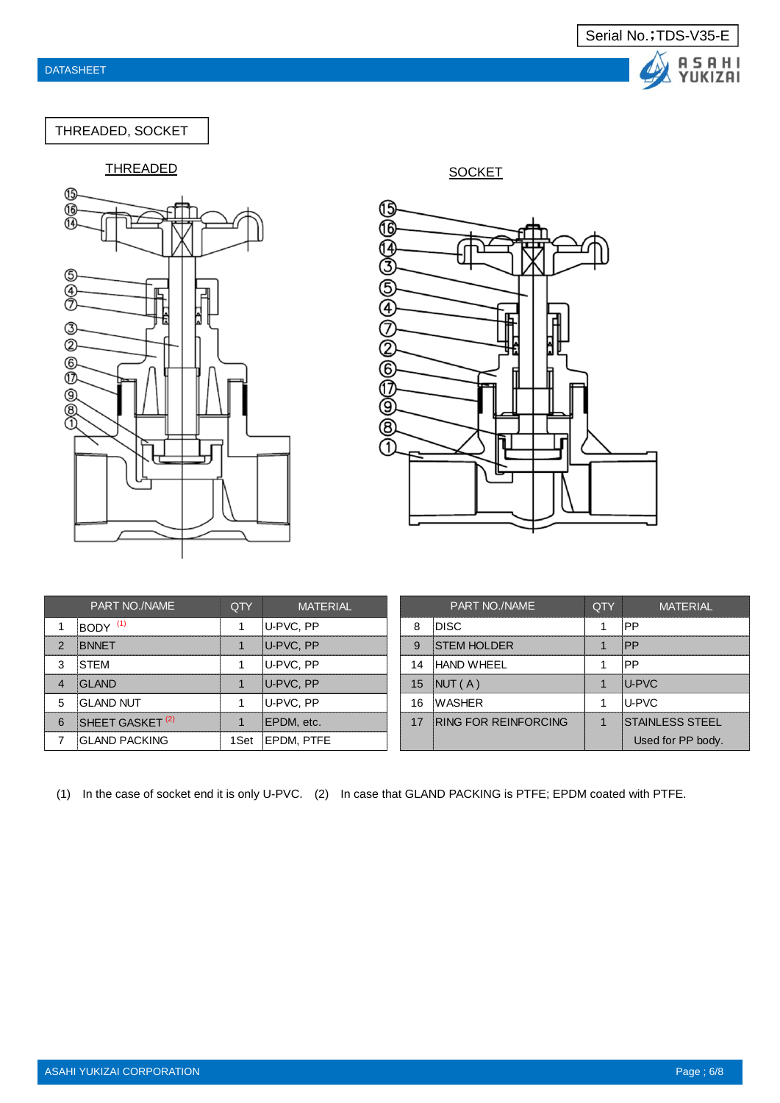

#### THREADED, SOCKET





|   | I PART NO./NAME             | <b>QTY</b> | <b>MATERIAL</b>   |    | <b>PART NO./NAME</b>        | <b>OTY</b> | <b>MATERIAL</b>        |
|---|-----------------------------|------------|-------------------|----|-----------------------------|------------|------------------------|
|   | $ $ BODY $ $ <sup>(1)</sup> |            | U-PVC, PP         | 8  | <b>IDISC</b>                |            | PP                     |
|   | <b>BNNET</b>                |            | <b>IU-PVC, PP</b> | 9  | <b>ISTEM HOLDER</b>         |            | .PP                    |
|   | <b>ISTEM</b>                |            | IU-PVC, PP        | 14 | <b>HAND WHEEL</b>           |            | PP                     |
|   | <b>GI AND</b>               |            | U-PVC, PP         | 15 | NUT(A)                      |            | ILL-PVC                |
| 5 | <b>GLAND NUT</b>            |            | IU-PVC, PP        | 16 | <b>IWASHER</b>              |            | U-PVC                  |
| 6 | SHEET GASKET <sup>(2)</sup> |            | EPDM. etc.        | 17 | <b>RING FOR REINFORCING</b> |            | <b>STAINLESS STEEL</b> |
|   | <b>GLAND PACKING</b>        | 1Set       | <b>EPDM, PTFE</b> |    |                             |            | Used for PP body.      |

| <b>QTY</b> | <b>MATERIAL</b> |    | <b>PART NO./NAME</b>        | <b>QTY</b> | <b>MATERIAL</b>        |
|------------|-----------------|----|-----------------------------|------------|------------------------|
|            | U-PVC, PP       | 8  | <b>DISC</b>                 |            | PP                     |
|            | U-PVC, PP       | 9  | <b>ISTEM HOLDER</b>         |            | PP                     |
|            | IU-PVC. PP      | 14 | <b>HAND WHEEL</b>           |            | PP                     |
|            | U-PVC, PP       | 15 | NUT(A)                      |            | ILI-PVC                |
|            | U-PVC, PP       | 16 | <b>WASHER</b>               |            | U-PVC                  |
|            | EPDM, etc.      | 17 | <b>RING FOR REINFORCING</b> |            | <b>STAINLESS STEEL</b> |
| 1Set       | EPDM. PTFE      |    |                             |            | Used for PP body.      |

(1) In the case of socket end it is only U-PVC. (2) In case that GLAND PACKING is PTFE; EPDM coated with PTFE.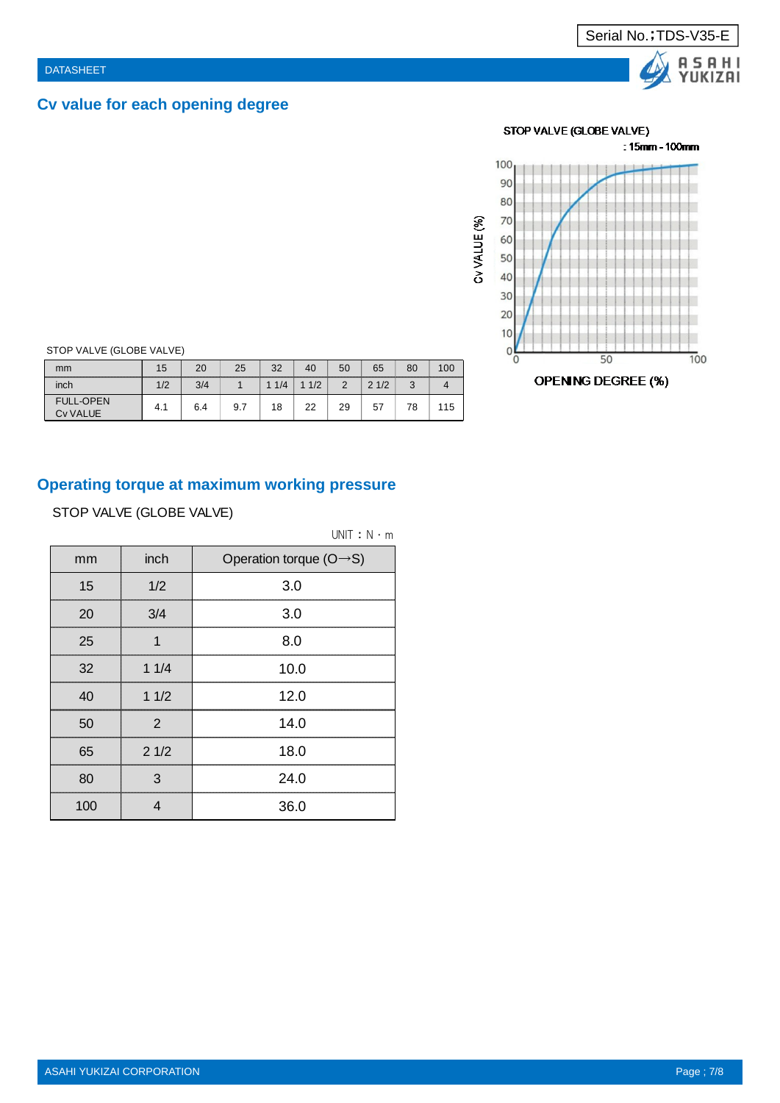# **Cv value for each opening degree**



#### STOP VALVE (GLOBE VALVE)



STOP VALVE (GLOBE VALVE)

| mm                                  | 15  | 20  | 25  | 32       | 40                          | 50       | 65   | 80 | 100 |
|-------------------------------------|-----|-----|-----|----------|-----------------------------|----------|------|----|-----|
| inch                                | 1/2 | 3/4 |     | 1/4<br>1 | 1/2<br>$\blacktriangleleft$ | $\Omega$ | 21/2 | ာ  |     |
| <b>FULL-OPEN</b><br><b>Cv VALUE</b> | 4.1 | 6.4 | 9.7 | 18       | 22                          | 29       | 57   | 78 | 115 |

# **Operating torque at maximum working pressure**

STOP VALVE (GLOBE VALVE)

|     |      | $UNIT: N \cdot m$                    |
|-----|------|--------------------------------------|
| mm  | inch | Operation torque $(O \rightarrow S)$ |
| 15  | 1/2  | 3.0                                  |
| 20  | 3/4  | 3.0                                  |
| 25  | 1    | 8.0                                  |
| 32  | 11/4 | 10.0                                 |
| 40  | 11/2 | 12.0                                 |
| 50  | 2    | 14.0                                 |
| 65  | 21/2 | 18.0                                 |
| 80  | 3    | 24.0                                 |
| 100 | 4    | 36.0                                 |